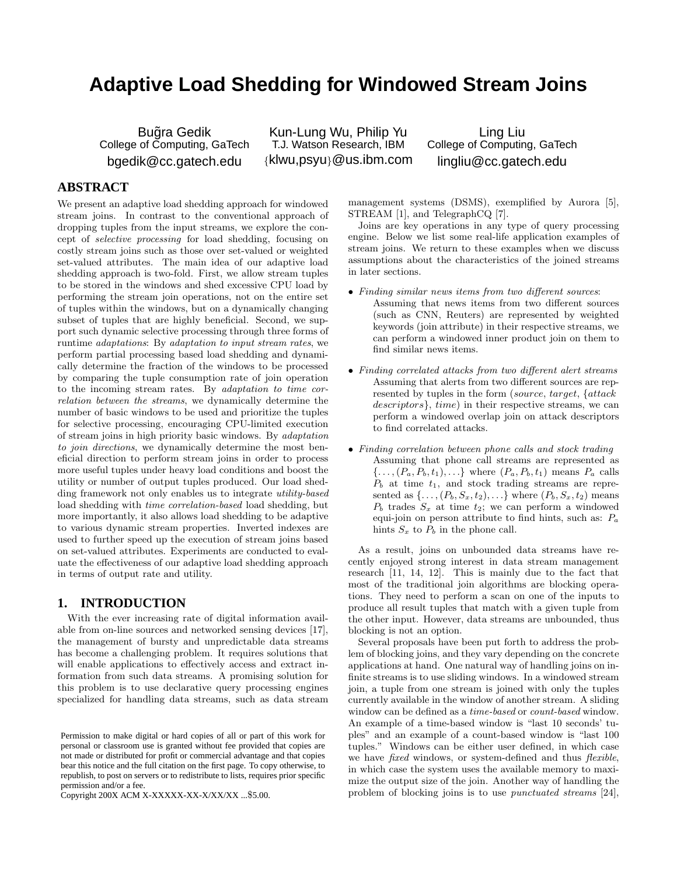# **Adaptive Load Shedding for Windowed Stream Joins**

Bugra Gedik College of Computing, GaTech bgedik@cc.gatech.edu

Kun-Lung Wu, Philip Yu T.J. Watson Research, IBM {klwu,psyu}@us.ibm.com

Ling Liu College of Computing, GaTech lingliu@cc.gatech.edu

# **ABSTRACT**

We present an adaptive load shedding approach for windowed stream joins. In contrast to the conventional approach of dropping tuples from the input streams, we explore the concept of selective processing for load shedding, focusing on costly stream joins such as those over set-valued or weighted set-valued attributes. The main idea of our adaptive load shedding approach is two-fold. First, we allow stream tuples to be stored in the windows and shed excessive CPU load by performing the stream join operations, not on the entire set of tuples within the windows, but on a dynamically changing subset of tuples that are highly beneficial. Second, we support such dynamic selective processing through three forms of runtime adaptations: By adaptation to input stream rates, we perform partial processing based load shedding and dynamically determine the fraction of the windows to be processed by comparing the tuple consumption rate of join operation to the incoming stream rates. By adaptation to time correlation between the streams, we dynamically determine the number of basic windows to be used and prioritize the tuples for selective processing, encouraging CPU-limited execution of stream joins in high priority basic windows. By adaptation to join directions, we dynamically determine the most beneficial direction to perform stream joins in order to process more useful tuples under heavy load conditions and boost the utility or number of output tuples produced. Our load shedding framework not only enables us to integrate utility-based load shedding with time correlation-based load shedding, but more importantly, it also allows load shedding to be adaptive to various dynamic stream properties. Inverted indexes are used to further speed up the execution of stream joins based on set-valued attributes. Experiments are conducted to evaluate the effectiveness of our adaptive load shedding approach in terms of output rate and utility.

#### **1. INTRODUCTION**

With the ever increasing rate of digital information available from on-line sources and networked sensing devices [17], the management of bursty and unpredictable data streams has become a challenging problem. It requires solutions that will enable applications to effectively access and extract information from such data streams. A promising solution for this problem is to use declarative query processing engines specialized for handling data streams, such as data stream

Copyright 200X ACM X-XXXXX-XX-X/XX/XX ...\$5.00.

management systems (DSMS), exemplified by Aurora [5], STREAM [1], and TelegraphCQ [7].

Joins are key operations in any type of query processing engine. Below we list some real-life application examples of stream joins. We return to these examples when we discuss assumptions about the characteristics of the joined streams in later sections.

- Finding similar news items from two different sources: Assuming that news items from two different sources (such as CNN, Reuters) are represented by weighted keywords (join attribute) in their respective streams, we can perform a windowed inner product join on them to find similar news items.
- Finding correlated attacks from two different alert streams Assuming that alerts from two different sources are represented by tuples in the form (source, target, {attack descriptors}, time) in their respective streams, we can perform a windowed overlap join on attack descriptors to find correlated attacks.
- Finding correlation between phone calls and stock trading Assuming that phone call streams are represented as  $\{\ldots,(P_a,P_b,t_1),\ldots\}$  where  $(P_a,P_b,t_1)$  means  $P_a$  calls  $P_b$  at time  $t_1$ , and stock trading streams are represented as  $\{\ldots,(P_b,S_x,t_2),\ldots\}$  where  $(P_b,S_x,t_2)$  means  $P_b$  trades  $S_x$  at time  $t_2$ ; we can perform a windowed equi-join on person attribute to find hints, such as:  $P_a$ hints  $S_x$  to  $P_b$  in the phone call.

As a result, joins on unbounded data streams have recently enjoyed strong interest in data stream management research [11, 14, 12]. This is mainly due to the fact that most of the traditional join algorithms are blocking operations. They need to perform a scan on one of the inputs to produce all result tuples that match with a given tuple from the other input. However, data streams are unbounded, thus blocking is not an option.

Several proposals have been put forth to address the problem of blocking joins, and they vary depending on the concrete applications at hand. One natural way of handling joins on infinite streams is to use sliding windows. In a windowed stream join, a tuple from one stream is joined with only the tuples currently available in the window of another stream. A sliding window can be defined as a time-based or count-based window. An example of a time-based window is "last 10 seconds' tuples" and an example of a count-based window is "last 100 tuples." Windows can be either user defined, in which case we have *fixed* windows, or system-defined and thus *flexible*, in which case the system uses the available memory to maximize the output size of the join. Another way of handling the problem of blocking joins is to use punctuated streams [24],

Permission to make digital or hard copies of all or part of this work for personal or classroom use is granted without fee provided that copies are not made or distributed for profit or commercial advantage and that copies bear this notice and the full citation on the first page. To copy otherwise, to republish, to post on servers or to redistribute to lists, requires prior specific permission and/or a fee.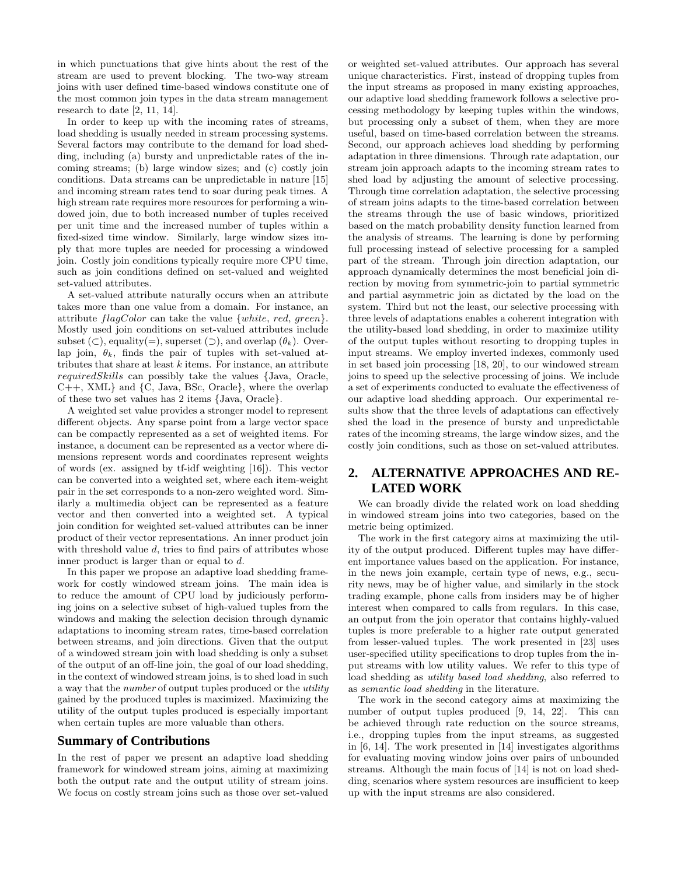in which punctuations that give hints about the rest of the stream are used to prevent blocking. The two-way stream joins with user defined time-based windows constitute one of the most common join types in the data stream management research to date [2, 11, 14].

In order to keep up with the incoming rates of streams, load shedding is usually needed in stream processing systems. Several factors may contribute to the demand for load shedding, including (a) bursty and unpredictable rates of the incoming streams; (b) large window sizes; and (c) costly join conditions. Data streams can be unpredictable in nature [15] and incoming stream rates tend to soar during peak times. A high stream rate requires more resources for performing a windowed join, due to both increased number of tuples received per unit time and the increased number of tuples within a fixed-sized time window. Similarly, large window sizes imply that more tuples are needed for processing a windowed join. Costly join conditions typically require more CPU time, such as join conditions defined on set-valued and weighted set-valued attributes.

A set-valued attribute naturally occurs when an attribute takes more than one value from a domain. For instance, an attribute  $flagColor$  can take the value  $\{white, red, green\}.$ Mostly used join conditions on set-valued attributes include subset (⊂), equality(=), superset (⊃), and overlap  $(\theta_k)$ . Overlap join,  $\theta_k$ , finds the pair of tuples with set-valued attributes that share at least  $k$  items. For instance, an attribute requiredSkills can possibly take the values {Java, Oracle, C++, XML} and {C, Java, BSc, Oracle}, where the overlap of these two set values has 2 items {Java, Oracle}.

A weighted set value provides a stronger model to represent different objects. Any sparse point from a large vector space can be compactly represented as a set of weighted items. For instance, a document can be represented as a vector where dimensions represent words and coordinates represent weights of words (ex. assigned by tf-idf weighting [16]). This vector can be converted into a weighted set, where each item-weight pair in the set corresponds to a non-zero weighted word. Similarly a multimedia object can be represented as a feature vector and then converted into a weighted set. A typical join condition for weighted set-valued attributes can be inner product of their vector representations. An inner product join with threshold value  $d$ , tries to find pairs of attributes whose inner product is larger than or equal to d.

In this paper we propose an adaptive load shedding framework for costly windowed stream joins. The main idea is to reduce the amount of CPU load by judiciously performing joins on a selective subset of high-valued tuples from the windows and making the selection decision through dynamic adaptations to incoming stream rates, time-based correlation between streams, and join directions. Given that the output of a windowed stream join with load shedding is only a subset of the output of an off-line join, the goal of our load shedding, in the context of windowed stream joins, is to shed load in such a way that the number of output tuples produced or the utility gained by the produced tuples is maximized. Maximizing the utility of the output tuples produced is especially important when certain tuples are more valuable than others.

# **Summary of Contributions**

In the rest of paper we present an adaptive load shedding framework for windowed stream joins, aiming at maximizing both the output rate and the output utility of stream joins. We focus on costly stream joins such as those over set-valued or weighted set-valued attributes. Our approach has several unique characteristics. First, instead of dropping tuples from the input streams as proposed in many existing approaches, our adaptive load shedding framework follows a selective processing methodology by keeping tuples within the windows, but processing only a subset of them, when they are more useful, based on time-based correlation between the streams. Second, our approach achieves load shedding by performing adaptation in three dimensions. Through rate adaptation, our stream join approach adapts to the incoming stream rates to shed load by adjusting the amount of selective processing. Through time correlation adaptation, the selective processing of stream joins adapts to the time-based correlation between the streams through the use of basic windows, prioritized based on the match probability density function learned from the analysis of streams. The learning is done by performing full processing instead of selective processing for a sampled part of the stream. Through join direction adaptation, our approach dynamically determines the most beneficial join direction by moving from symmetric-join to partial symmetric and partial asymmetric join as dictated by the load on the system. Third but not the least, our selective processing with three levels of adaptations enables a coherent integration with the utility-based load shedding, in order to maximize utility of the output tuples without resorting to dropping tuples in input streams. We employ inverted indexes, commonly used in set based join processing [18, 20], to our windowed stream joins to speed up the selective processing of joins. We include a set of experiments conducted to evaluate the effectiveness of our adaptive load shedding approach. Our experimental results show that the three levels of adaptations can effectively shed the load in the presence of bursty and unpredictable rates of the incoming streams, the large window sizes, and the costly join conditions, such as those on set-valued attributes.

# **2. ALTERNATIVE APPROACHES AND RE-LATED WORK**

We can broadly divide the related work on load shedding in windowed stream joins into two categories, based on the metric being optimized.

The work in the first category aims at maximizing the utility of the output produced. Different tuples may have different importance values based on the application. For instance, in the news join example, certain type of news, e.g., security news, may be of higher value, and similarly in the stock trading example, phone calls from insiders may be of higher interest when compared to calls from regulars. In this case, an output from the join operator that contains highly-valued tuples is more preferable to a higher rate output generated from lesser-valued tuples. The work presented in [23] uses user-specified utility specifications to drop tuples from the input streams with low utility values. We refer to this type of load shedding as utility based load shedding, also referred to as semantic load shedding in the literature.

The work in the second category aims at maximizing the number of output tuples produced [9, 14, 22]. This can be achieved through rate reduction on the source streams, i.e., dropping tuples from the input streams, as suggested in [6, 14]. The work presented in [14] investigates algorithms for evaluating moving window joins over pairs of unbounded streams. Although the main focus of [14] is not on load shedding, scenarios where system resources are insufficient to keep up with the input streams are also considered.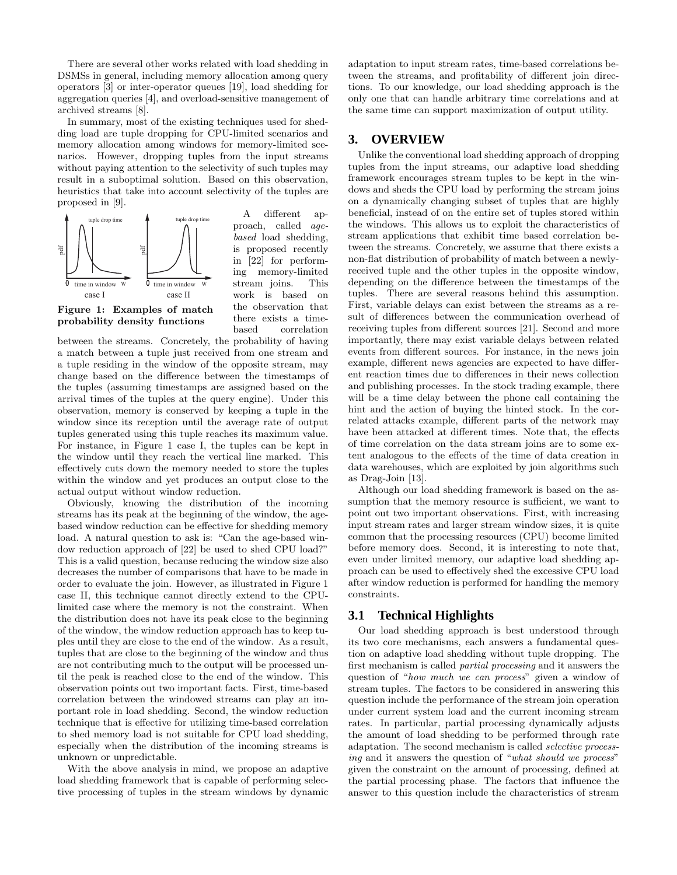There are several other works related with load shedding in DSMSs in general, including memory allocation among query operators [3] or inter-operator queues [19], load shedding for aggregation queries [4], and overload-sensitive management of archived streams [8].

In summary, most of the existing techniques used for shedding load are tuple dropping for CPU-limited scenarios and memory allocation among windows for memory-limited scenarios. However, dropping tuples from the input streams without paying attention to the selectivity of such tuples may result in a suboptimal solution. Based on this observation, heuristics that take into account selectivity of the tuples are proposed in [9].



A different approach, called agebased load shedding, is proposed recently in [22] for performing memory-limited stream joins. This work is based on the observation that there exists a timebased correlation

**Figure 1: Examples of match probability density functions**

between the streams. Concretely, the probability of having a match between a tuple just received from one stream and a tuple residing in the window of the opposite stream, may change based on the difference between the timestamps of the tuples (assuming timestamps are assigned based on the arrival times of the tuples at the query engine). Under this observation, memory is conserved by keeping a tuple in the window since its reception until the average rate of output tuples generated using this tuple reaches its maximum value. For instance, in Figure 1 case I, the tuples can be kept in the window until they reach the vertical line marked. This effectively cuts down the memory needed to store the tuples within the window and yet produces an output close to the actual output without window reduction.

Obviously, knowing the distribution of the incoming streams has its peak at the beginning of the window, the agebased window reduction can be effective for shedding memory load. A natural question to ask is: "Can the age-based window reduction approach of [22] be used to shed CPU load?" This is a valid question, because reducing the window size also decreases the number of comparisons that have to be made in order to evaluate the join. However, as illustrated in Figure 1 case II, this technique cannot directly extend to the CPUlimited case where the memory is not the constraint. When the distribution does not have its peak close to the beginning of the window, the window reduction approach has to keep tuples until they are close to the end of the window. As a result, tuples that are close to the beginning of the window and thus are not contributing much to the output will be processed until the peak is reached close to the end of the window. This observation points out two important facts. First, time-based correlation between the windowed streams can play an important role in load shedding. Second, the window reduction technique that is effective for utilizing time-based correlation to shed memory load is not suitable for CPU load shedding, especially when the distribution of the incoming streams is unknown or unpredictable.

With the above analysis in mind, we propose an adaptive load shedding framework that is capable of performing selective processing of tuples in the stream windows by dynamic adaptation to input stream rates, time-based correlations between the streams, and profitability of different join directions. To our knowledge, our load shedding approach is the only one that can handle arbitrary time correlations and at the same time can support maximization of output utility.

# **3. OVERVIEW**

Unlike the conventional load shedding approach of dropping tuples from the input streams, our adaptive load shedding framework encourages stream tuples to be kept in the windows and sheds the CPU load by performing the stream joins on a dynamically changing subset of tuples that are highly beneficial, instead of on the entire set of tuples stored within the windows. This allows us to exploit the characteristics of stream applications that exhibit time based correlation between the streams. Concretely, we assume that there exists a non-flat distribution of probability of match between a newlyreceived tuple and the other tuples in the opposite window, depending on the difference between the timestamps of the tuples. There are several reasons behind this assumption. First, variable delays can exist between the streams as a result of differences between the communication overhead of receiving tuples from different sources [21]. Second and more importantly, there may exist variable delays between related events from different sources. For instance, in the news join example, different news agencies are expected to have different reaction times due to differences in their news collection and publishing processes. In the stock trading example, there will be a time delay between the phone call containing the hint and the action of buying the hinted stock. In the correlated attacks example, different parts of the network may have been attacked at different times. Note that, the effects of time correlation on the data stream joins are to some extent analogous to the effects of the time of data creation in data warehouses, which are exploited by join algorithms such as Drag-Join [13].

Although our load shedding framework is based on the assumption that the memory resource is sufficient, we want to point out two important observations. First, with increasing input stream rates and larger stream window sizes, it is quite common that the processing resources (CPU) become limited before memory does. Second, it is interesting to note that, even under limited memory, our adaptive load shedding approach can be used to effectively shed the excessive CPU load after window reduction is performed for handling the memory constraints.

# **3.1 Technical Highlights**

Our load shedding approach is best understood through its two core mechanisms, each answers a fundamental question on adaptive load shedding without tuple dropping. The first mechanism is called partial processing and it answers the question of "how much we can process" given a window of stream tuples. The factors to be considered in answering this question include the performance of the stream join operation under current system load and the current incoming stream rates. In particular, partial processing dynamically adjusts the amount of load shedding to be performed through rate adaptation. The second mechanism is called selective processing and it answers the question of "what should we process" given the constraint on the amount of processing, defined at the partial processing phase. The factors that influence the answer to this question include the characteristics of stream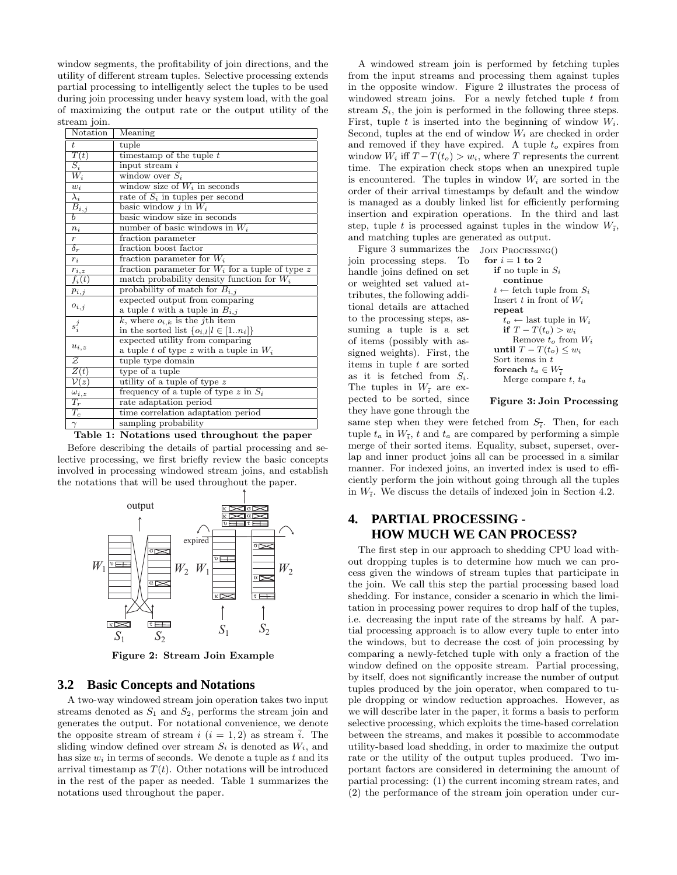window segments, the profitability of join directions, and the utility of different stream tuples. Selective processing extends partial processing to intelligently select the tuples to be used during join processing under heavy system load, with the goal of maximizing the output rate or the output utility of the stream join.

| Notation               | Meaning                                            |
|------------------------|----------------------------------------------------|
| $t\,$                  | tuple                                              |
| T(t)                   | timestamp of the tuple $t$                         |
| $\overline{S_i}$       | input stream i                                     |
| $W_i$                  | window over $S_i$                                  |
| $w_i$                  | window size of $W_i$ in seconds                    |
| $\overline{\lambda_i}$ | rate of $S_i$ in tuples per second                 |
| $\overline{B_{i,j}}$   | basic window $j$ in $W_i$                          |
| b                      | basic window size in seconds                       |
| $n_i$                  | number of basic windows in $W_i$                   |
| $\,r\,$                | fraction parameter                                 |
| $\delta_r$             | fraction boost factor                              |
| $r_i$                  | fraction parameter for $W_i$                       |
| $r_{i,z}$              | fraction parameter for $W_i$ for a tuple of type z |
| $f_i(t)$               | match probability density function for $W_i$       |
| $p_{i,j}$              | probability of match for $B_{i,j}$                 |
| $o_{i,j}$              | expected output from comparing                     |
|                        | a tuple t with a tuple in $B_{i,j}$                |
| $s_i^j$                | k, where $o_{i,k}$ is the j <sup>th</sup> item     |
|                        | in the sorted list $\{o_{i,l} l \in [1n_i]\}$      |
| $u_{i,z}$              | expected utility from comparing                    |
|                        | a tuple t of type z with a tuple in $W_i$          |
| Z                      | tuple type domain                                  |
| Z(t)                   | type of a tuple                                    |
| $\mathcal{V}(z)$       | utility of a tuple of type z                       |
| $\omega_{i,z}$         | frequency of a tuple of type z in $S_i$            |
| $T_r$                  | rate adaptation period                             |
| $T_c$                  | time correlation adaptation period                 |
| $\gamma$               | sampling probability                               |

**Table 1: Notations used throughout the paper**

Before describing the details of partial processing and selective processing, we first briefly review the basic concepts involved in processing windowed stream joins, and establish the notations that will be used throughout the paper.



**Figure 2: Stream Join Example**

## **3.2 Basic Concepts and Notations**

A two-way windowed stream join operation takes two input streams denoted as  $S_1$  and  $S_2$ , performs the stream join and generates the output. For notational convenience, we denote the opposite stream of stream i  $(i = 1, 2)$  as stream i. The sliding window defined over stream  $S_i$  is denoted as  $W_i$ , and has size  $w_i$  in terms of seconds. We denote a tuple as t and its arrival timestamp as  $T(t)$ . Other notations will be introduced in the rest of the paper as needed. Table 1 summarizes the notations used throughout the paper.

A windowed stream join is performed by fetching tuples from the input streams and processing them against tuples in the opposite window. Figure 2 illustrates the process of windowed stream joins. For a newly fetched tuple  $t$  from stream  $S_i$ , the join is performed in the following three steps. First, tuple  $t$  is inserted into the beginning of window  $W_i$ . Second, tuples at the end of window  $W_i$  are checked in order and removed if they have expired. A tuple  $t<sub>o</sub>$  expires from window  $W_i$  iff  $T - T(t_o) > w_i$ , where T represents the current time. The expiration check stops when an unexpired tuple is encountered. The tuples in window  $W_i$  are sorted in the order of their arrival timestamps by default and the window is managed as a doubly linked list for efficiently performing insertion and expiration operations. In the third and last step, tuple t is processed against tuples in the window  $W_{\overline{s}}$ , and matching tuples are generated as output.

Join Processing() Figure 3 summarizes the

join processing steps. To handle joins defined on set or weighted set valued attributes, the following additional details are attached to the processing steps, assuming a tuple is a set of items (possibly with assigned weights). First, the items in tuple t are sorted as it is fetched from  $S_i$ . The tuples in  $W_{\overline{i}}$  are expected to be sorted, since they have gone through the for  $i = 1$  to 2 **if** no tuple in  $S_i$ **continue**  $t \leftarrow$  fetch tuple from  $S_i$ Insert t in front of  $W_i$ **repeat**  $t_o \leftarrow$  last tuple in  $W_i$ **if**  $T - T(t_o) > w_i$ Remove  $t_o$  from  $W_i$ **until**  $T - T(t_o) \leq w_i$ Sort items in  $t$ **for<br>each**  $t_a \in W_{\overline{i}}$ Merge compare  $t, t_a$ 

**Figure 3: Join Processing**

same step when they were fetched from  $S_{\bar{i}}$ . Then, for each tuple  $t_a$  in  $W_{\overline{i}}$ , t and  $t_a$  are compared by performing a simple merge of their sorted items. Equality, subset, superset, overlap and inner product joins all can be processed in a similar manner. For indexed joins, an inverted index is used to efficiently perform the join without going through all the tuples in  $W_{\overline{i}}$ . We discuss the details of indexed join in Section 4.2.

# **4. PARTIAL PROCESSING - HOW MUCH WE CAN PROCESS?**

The first step in our approach to shedding CPU load without dropping tuples is to determine how much we can process given the windows of stream tuples that participate in the join. We call this step the partial processing based load shedding. For instance, consider a scenario in which the limitation in processing power requires to drop half of the tuples, i.e. decreasing the input rate of the streams by half. A partial processing approach is to allow every tuple to enter into the windows, but to decrease the cost of join processing by comparing a newly-fetched tuple with only a fraction of the window defined on the opposite stream. Partial processing, by itself, does not significantly increase the number of output tuples produced by the join operator, when compared to tuple dropping or window reduction approaches. However, as we will describe later in the paper, it forms a basis to perform selective processing, which exploits the time-based correlation between the streams, and makes it possible to accommodate utility-based load shedding, in order to maximize the output rate or the utility of the output tuples produced. Two important factors are considered in determining the amount of partial processing: (1) the current incoming stream rates, and (2) the performance of the stream join operation under cur-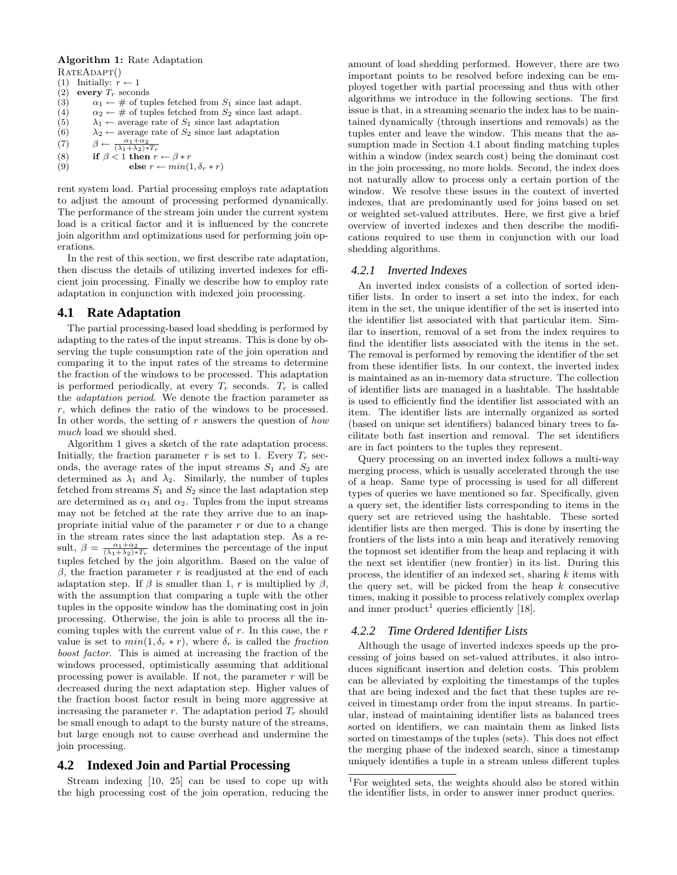#### **Algorithm 1:** Rate Adaptation RATEADAPT()

```
(1) Initially: \check{r} \leftarrow 1(2) every T_r seconds<br>(3) \alpha_1 \leftarrow # of turn
               \alpha_1 \leftarrow \# of tuples fetched from S_1 since last adapt.
(4) \alpha_2 \leftarrow \# of tuples fetched from S_2 since last adapt.
(5) \lambda_1 \leftarrow average rate of S_1 since last adaptation<br>(6) \lambda_2 \leftarrow average rate of S_2 since last adaptation
               \lambda_2 \leftarrow average rate of S_2 since last adaptation
(7) \beta \leftarrow \frac{\alpha_1 + \alpha_2}{(\lambda_1 + \lambda_2) * T_r}(8) if \beta < 1 then r \leftarrow \beta * r
```

$$
(9) \qquad \qquad \text{else } r \leftarrow min(1, \delta_r * r)
$$

rent system load. Partial processing employs rate adaptation to adjust the amount of processing performed dynamically. The performance of the stream join under the current system load is a critical factor and it is influenced by the concrete join algorithm and optimizations used for performing join operations.

In the rest of this section, we first describe rate adaptation, then discuss the details of utilizing inverted indexes for efficient join processing. Finally we describe how to employ rate adaptation in conjunction with indexed join processing.

#### **4.1 Rate Adaptation**

The partial processing-based load shedding is performed by adapting to the rates of the input streams. This is done by observing the tuple consumption rate of the join operation and comparing it to the input rates of the streams to determine the fraction of the windows to be processed. This adaptation is performed periodically, at every  $T_r$  seconds.  $T_r$  is called the adaptation period. We denote the fraction parameter as r, which defines the ratio of the windows to be processed. In other words, the setting of  $r$  answers the question of  $how$ much load we should shed.

Algorithm 1 gives a sketch of the rate adaptation process. Initially, the fraction parameter  $r$  is set to 1. Every  $T_r$  seconds, the average rates of the input streams  $S_1$  and  $S_2$  are determined as  $\lambda_1$  and  $\lambda_2$ . Similarly, the number of tuples fetched from streams  $S_1$  and  $S_2$  since the last adaptation step are determined as  $\alpha_1$  and  $\alpha_2$ . Tuples from the input streams may not be fetched at the rate they arrive due to an inappropriate initial value of the parameter  $r$  or due to a change in the stream rates since the last adaptation step. As a result,  $\beta = \frac{\alpha_1 + \alpha_2}{(\lambda_1 + \lambda_2) * T_r}$  determines the percentage of the input tuples fetched by the join algorithm. Based on the value of  $β$ , the fraction parameter r is readjusted at the end of each adaptation step. If  $\beta$  is smaller than 1, r is multiplied by  $\beta$ , with the assumption that comparing a tuple with the other tuples in the opposite window has the dominating cost in join processing. Otherwise, the join is able to process all the incoming tuples with the current value of  $r$ . In this case, the  $r$ value is set to  $min(1, \delta_r * r)$ , where  $\delta_r$  is called the fraction boost factor. This is aimed at increasing the fraction of the windows processed, optimistically assuming that additional processing power is available. If not, the parameter  $r$  will be decreased during the next adaptation step. Higher values of the fraction boost factor result in being more aggressive at increasing the parameter  $r$ . The adaptation period  $T_r$  should be small enough to adapt to the bursty nature of the streams, but large enough not to cause overhead and undermine the join processing.

# **4.2 Indexed Join and Partial Processing**

Stream indexing [10, 25] can be used to cope up with the high processing cost of the join operation, reducing the amount of load shedding performed. However, there are two important points to be resolved before indexing can be employed together with partial processing and thus with other algorithms we introduce in the following sections. The first issue is that, in a streaming scenario the index has to be maintained dynamically (through insertions and removals) as the tuples enter and leave the window. This means that the assumption made in Section 4.1 about finding matching tuples within a window (index search cost) being the dominant cost in the join processing, no more holds. Second, the index does not naturally allow to process only a certain portion of the window. We resolve these issues in the context of inverted indexes, that are predominantly used for joins based on set or weighted set-valued attributes. Here, we first give a brief overview of inverted indexes and then describe the modifications required to use them in conjunction with our load shedding algorithms.

#### *4.2.1 Inverted Indexes*

An inverted index consists of a collection of sorted identifier lists. In order to insert a set into the index, for each item in the set, the unique identifier of the set is inserted into the identifier list associated with that particular item. Similar to insertion, removal of a set from the index requires to find the identifier lists associated with the items in the set. The removal is performed by removing the identifier of the set from these identifier lists. In our context, the inverted index is maintained as an in-memory data structure. The collection of identifier lists are managed in a hashtable. The hashtable is used to efficiently find the identifier list associated with an item. The identifier lists are internally organized as sorted (based on unique set identifiers) balanced binary trees to facilitate both fast insertion and removal. The set identifiers are in fact pointers to the tuples they represent.

Query processing on an inverted index follows a multi-way merging process, which is usually accelerated through the use of a heap. Same type of processing is used for all different types of queries we have mentioned so far. Specifically, given a query set, the identifier lists corresponding to items in the query set are retrieved using the hashtable. These sorted identifier lists are then merged. This is done by inserting the frontiers of the lists into a min heap and iteratively removing the topmost set identifier from the heap and replacing it with the next set identifier (new frontier) in its list. During this process, the identifier of an indexed set, sharing k items with the query set, will be picked from the heap  $k$  consecutive times, making it possible to process relatively complex overlap and inner product<sup>1</sup> queries efficiently [18].

#### *4.2.2 Time Ordered Identifier Lists*

Although the usage of inverted indexes speeds up the processing of joins based on set-valued attributes, it also introduces significant insertion and deletion costs. This problem can be alleviated by exploiting the timestamps of the tuples that are being indexed and the fact that these tuples are received in timestamp order from the input streams. In particular, instead of maintaining identifier lists as balanced trees sorted on identifiers, we can maintain them as linked lists sorted on timestamps of the tuples (sets). This does not effect the merging phase of the indexed search, since a timestamp uniquely identifies a tuple in a stream unless different tuples

<sup>1</sup>For weighted sets, the weights should also be stored within the identifier lists, in order to answer inner product queries.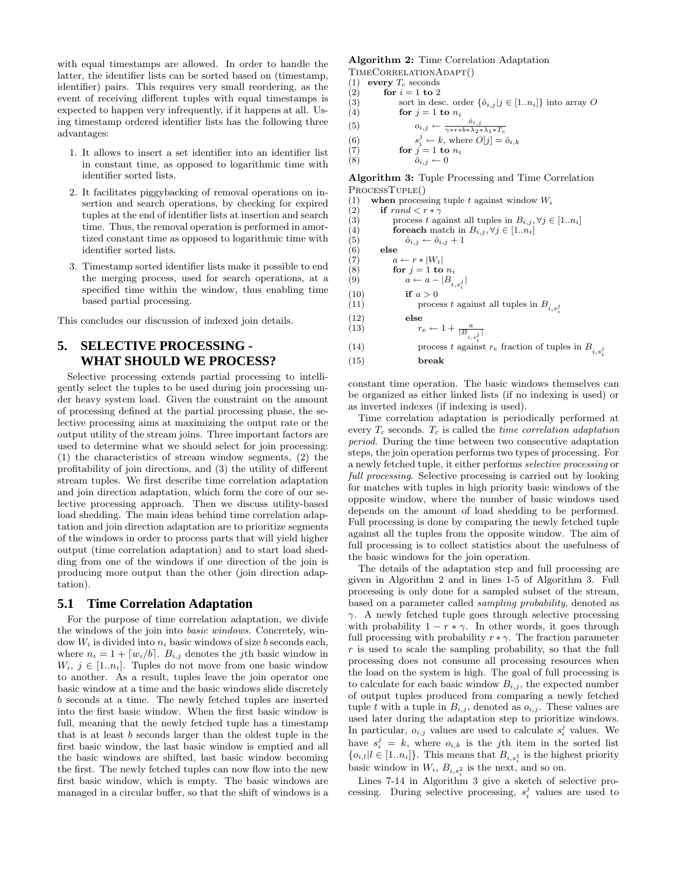with equal timestamps are allowed. In order to handle the latter, the identifier lists can be sorted based on (timestamp, identifier) pairs. This requires very small reordering, as the event of receiving different tuples with equal timestamps is expected to happen very infrequently, if it happens at all. Using timestamp ordered identifier lists has the following three advantages:

- 1. It allows to insert a set identifier into an identifier list in constant time, as opposed to logarithmic time with identifier sorted lists.
- 2. It facilitates piggybacking of removal operations on insertion and search operations, by checking for expired tuples at the end of identifier lists at insertion and search time. Thus, the removal operation is performed in amortized constant time as opposed to logarithmic time with identifier sorted lists.
- 3. Timestamp sorted identifier lists make it possible to end the merging process, used for search operations, at a specified time within the window, thus enabling time based partial processing.

This concludes our discussion of indexed join details.

# **5. SELECTIVE PROCESSING - WHAT SHOULD WE PROCESS?**

Selective processing extends partial processing to intelligently select the tuples to be used during join processing under heavy system load. Given the constraint on the amount of processing defined at the partial processing phase, the selective processing aims at maximizing the output rate or the output utility of the stream joins. Three important factors are used to determine what we should select for join processing: (1) the characteristics of stream window segments, (2) the profitability of join directions, and (3) the utility of different stream tuples. We first describe time correlation adaptation and join direction adaptation, which form the core of our selective processing approach. Then we discuss utility-based load shedding. The main ideas behind time correlation adaptation and join direction adaptation are to prioritize segments of the windows in order to process parts that will yield higher output (time correlation adaptation) and to start load shedding from one of the windows if one direction of the join is producing more output than the other (join direction adaptation).

#### **5.1 Time Correlation Adaptation**

For the purpose of time correlation adaptation, we divide the windows of the join into basic windows. Concretely, window  $W_i$  is divided into  $n_i$  basic windows of size b seconds each, where  $n_i = 1 + [w_i/b]$ .  $B_{i,j}$  denotes the *j*th basic window in  $W_i, j \in [1..n_i]$ . Tuples do not move from one basic window to another. As a result, tuples leave the join operator one basic window at a time and the basic windows slide discretely b seconds at a time. The newly fetched tuples are inserted into the first basic window. When the first basic window is full, meaning that the newly fetched tuple has a timestamp that is at least b seconds larger than the oldest tuple in the first basic window, the last basic window is emptied and all the basic windows are shifted, last basic window becoming the first. The newly fetched tuples can now flow into the new first basic window, which is empty. The basic windows are managed in a circular buffer, so that the shift of windows is a

# **Algorithm 2:** Time Correlation Adaptation

TIMECORRELATIONADAPT $($ 1) every  $T_0$  seconds

- (1) **every**  $T_c$  seconds<br>(2) **for**  $i = 1$  **to** 2
- (2) **for**  $i = 1$  **to** 2<br>(3) **for** in des sort in desc. order  $\{\hat{o}_{i,j} | j \in [1..n_i]\}$  into array O
- $(4)$  **for**  $j = 1$  **to**  $n_i$
- (5)  $o_{i,j} \leftarrow \frac{\hat{o}_{i,j}}{\cdots}$

$$
\begin{array}{ccc}\n\text{(0)} & \text{(0)} & \text{(1)} \\
\text{(1)} & \text{(2)} & \text{(3)} \\
\text{(4)} & \text{(4)} & \text{(5)} \\
\text{(6)} & \text{(7)} & \text{(8)} \\
\text{(9)} & \text{(1)} & \text{(1)} \\
\text{(1)} & \text{(1)} & \text{(1)} \\
\text{(2)} & \text{(3)} & \text{(4)} \\
\text{(5)} & \text{(6)} & \text{(7)} \\
\text{(8)} & \text{(9)} & \text{(1)} \\
\text{(1)} & \text{(1)} & \text{(1)} \\
\text{(2)} & \text{(3)} & \text{(4)} \\
\text{(5)} & \text{(6)} & \text{(7)} \\
\text{(8)} & \text{(9)} & \text{(1)} \\
\text{(1)} & \text{(1)} & \text{(1)} \\
\text{(2)} & \text{(3)} & \text{(4)} \\
\text{(4)} & \text{(5)} & \text{(6)} \\
\text{(6)} & \text{(7)} & \text{(8)} \\
\text{(9)} & \text{(1)} & \text{(1)} \\
\text{(1)} & \text{(2)} & \text{(3)} \\
\text{(1)} & \text{(2)} & \text{(3)} \\
\text{(4)} & \text{(5)} & \text{(6)} \\
\text{(6)} & \text{(7)} & \text{(8)} \\
\text{(9)} & \text{(1)} & \text{(1)} \\
\text{(1)} & \text{(1)} & \text{(1)} \\
\text{(2)} & \text{(2)} & \text{(2)} \\
\text{(3)} & \text{(4)} & \text{(5)} \\
\text{(6)} & \text{(7)} & \text{(8)} \\
\text{(9)} & \text{(1)} & \text{(1)} \\
\text{(1)} & \text{(2)} & \text{(3)} \\
\text{(1)} & \text{(2)} & \text{(3)} \\
\text{(1)} & \text{(2)} & \text{(3)} \\
\text{(1)} & \text{(2)} & \text{(3)} \\
\text{(3)} & \text{(4)} & \text{(5)} \\
\text{(4)} & \text{(5)} & \text{(6)} \\
\text{(6
$$

 $s_i^j \leftarrow k$ , where  $O[j]=\hat{o}_{i,k}$ 

(6)<br>(7) (7) **for**  $j = 1$  **to**  $n_i$ <br>(8)  $\hat{o}_{i,j} \leftarrow 0$  $\hat{o}_{i,j} \leftarrow 0$ 

**Algorithm 3:** Tuple Processing and Time Correlation ProcessTuple()

(1) **when** processing tuple t against window  $W_i$ <br>(2) **if** rand  $\langle r * \gamma \rangle$ (2) **if**  $rand \leq r * \gamma$ <br>(3) **process t** ag (3) process t against all tuples in  $B_{i,j}$ ,  $\forall j \in [1..n_i]$ <br>(4) **for each** match in  $B_{i,j}$ ,  $\forall j \in [1..n_i]$ (4) **for each** match in  $B_{i,j}$ ,  $\forall j \in [1..n_i]$ <br>(5)  $\hat{o}_{i,j} \leftarrow \hat{o}_{i,j} + 1$ (5)  $\hat{o}_{i,j} \leftarrow \hat{o}_{i,j} + 1$ <br>(6) **else**  $\begin{array}{cc} (6) & \text{else} \ (7) & a \end{array}$  $a \leftarrow r * |W_i|$ (8) **for**  $j = 1$  **to**  $n_i$ <br>(9)  $a \leftarrow a - |B|$ (9)  $a \leftarrow a - |B_{i,s_i^j}|$ (10) **if**  $a > 0$ <br>(11) **if** proces process t against all tuples in  $B_{i,s}$ *j i* (12) **else**<br>  $r_e \leftarrow 1 + \frac{a}{|B_{i,s_i^j}|}$ (14) process t against  $r_e$  fraction of tuples in  $B_{i,s_i^j}$ (15) **break**

constant time operation. The basic windows themselves can be organized as either linked lists (if no indexing is used) or as inverted indexes (if indexing is used).

Time correlation adaptation is periodically performed at every  $T_c$  seconds.  $T_c$  is called the *time correlation adaptation* period. During the time between two consecutive adaptation steps, the join operation performs two types of processing. For a newly fetched tuple, it either performs selective processing or full processing. Selective processing is carried out by looking for matches with tuples in high priority basic windows of the opposite window, where the number of basic windows used depends on the amount of load shedding to be performed. Full processing is done by comparing the newly fetched tuple against all the tuples from the opposite window. The aim of full processing is to collect statistics about the usefulness of the basic windows for the join operation.

The details of the adaptation step and full processing are given in Algorithm 2 and in lines 1-5 of Algorithm 3. Full processing is only done for a sampled subset of the stream, based on a parameter called sampling probability, denoted as  $\gamma$ . A newly fetched tuple goes through selective processing with probability  $1 - r * \gamma$ . In other words, it goes through full processing with probability  $r * \gamma$ . The fraction parameter  $r$  is used to scale the sampling probability, so that the full processing does not consume all processing resources when the load on the system is high. The goal of full processing is to calculate for each basic window  $B_{i,j}$ , the expected number of output tuples produced from comparing a newly fetched tuple t with a tuple in  $B_{i,j}$ , denoted as  $o_{i,j}$ . These values are used later during the adaptation step to prioritize windows. In particular,  $o_{i,j}$  values are used to calculate  $s_i^j$  values. We have  $s_i^j = k$ , where  $o_{i,k}$  is the jth item in the sorted list  ${o_{i,l}} \ge [1..n_i]$ . This means that  $B_{i,s_i}$  is the highest priority basic window in  $W_i$ ,  $B_{i,s_i^2}$  is the next, and so on.

Lines 7-14 in Algorithm 3 give a sketch of selective processing. During selective processing,  $s_i^j$  values are used to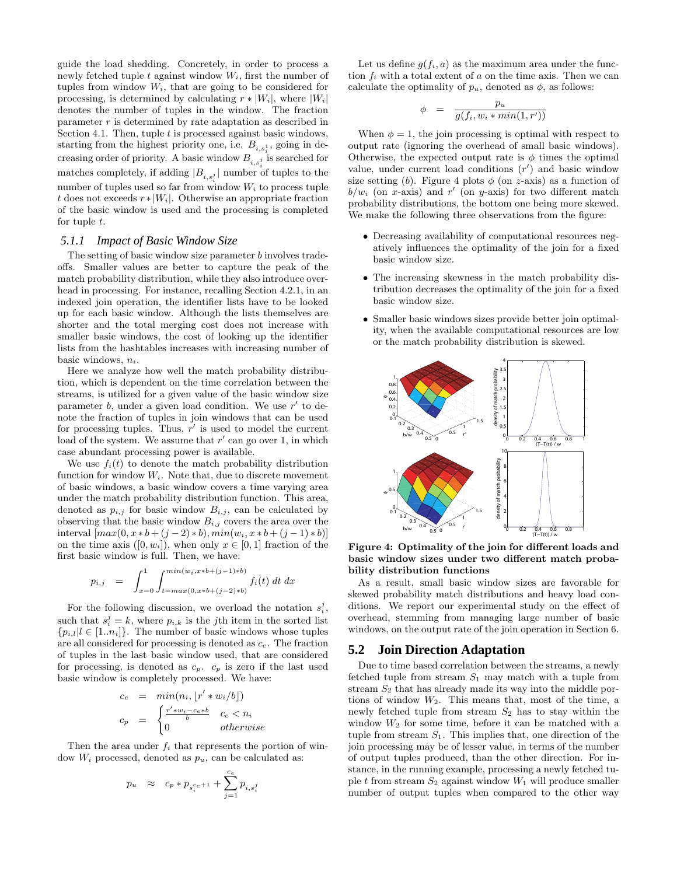guide the load shedding. Concretely, in order to process a newly fetched tuple t against window  $W_i$ , first the number of tuples from window  $W_i$ , that are going to be considered for processing, is determined by calculating  $r * |W_i|$ , where  $|W_i|$ denotes the number of tuples in the window. The fraction parameter  $r$  is determined by rate adaptation as described in Section 4.1. Then, tuple  $t$  is processed against basic windows, starting from the highest priority one, i.e.  $B_{i,s_i^1}$ , going in decreasing order of priority. A basic window  $B_{i,s<sub>i</sub>}^{i,s<sub>i</sub>}$  is searched for matches completely, if adding  $|B_{i,s_i^j}|$  number of tuples to the number of tuples used so far from window  $W_i$  to process tuple t does not exceeds  $r * |W_i|$ . Otherwise an appropriate fraction of the basic window is used and the processing is completed for tuple  $t$ .

#### *5.1.1 Impact of Basic Window Size*

The setting of basic window size parameter  $b$  involves tradeoffs. Smaller values are better to capture the peak of the match probability distribution, while they also introduce overhead in processing. For instance, recalling Section 4.2.1, in an indexed join operation, the identifier lists have to be looked up for each basic window. Although the lists themselves are shorter and the total merging cost does not increase with smaller basic windows, the cost of looking up the identifier lists from the hashtables increases with increasing number of basic windows,  $n_i$ .

Here we analyze how well the match probability distribution, which is dependent on the time correlation between the streams, is utilized for a given value of the basic window size parameter  $b$ , under a given load condition. We use  $r'$  to denote the fraction of tuples in join windows that can be used for processing tuples. Thus,  $r'$  is used to model the current load of the system. We assume that  $r'$  can go over 1, in which case abundant processing power is available.

We use  $f_i(t)$  to denote the match probability distribution function for window  $W_i$ . Note that, due to discrete movement of basic windows, a basic window covers a time varying area under the match probability distribution function. This area, denoted as  $p_{i,j}$  for basic window  $B_{i,j}$ , can be calculated by observing that the basic window  $B_{i,j}$  covers the area over the interval  $\left[ max(0, x * b + (j - 2) * b), min(w_i, x * b + (j - 1) * b) \right]$ on the time axis  $([0, w_i])$ , when only  $x \in [0, 1]$  fraction of the first basic window is full. Then, we have:

$$
p_{i,j} = \int_{x=0}^{1} \int_{t=max(0,x*b+(j-1)*b)}^{min(w_i,x*b+(j-1)*b} f_i(t) dt dx
$$

For the following discussion, we overload the notation  $s_i^j$ , such that  $s_i^j = k$ , where  $p_{i,k}$  is the jth item in the sorted list  $\{p_{i,l}|l \in [1..n_i]\}$ . The number of basic windows whose tuples are all considered for processing is denoted as  $c<sub>e</sub>$ . The fraction of tuples in the last basic window used, that are considered for processing, is denoted as  $c_p$ .  $c_p$  is zero if the last used basic window is completely processed. We have:

$$
c_e = \min(n_i, \lfloor r' * w_i / b \rfloor)
$$
  
\n
$$
c_p = \begin{cases} \frac{r' * w_i - c_e * b}{b} & c_e < n_i \\ 0 & \text{otherwise} \end{cases}
$$

Then the area under  $f_i$  that represents the portion of window  $W_i$  processed, denoted as  $p_u$ , can be calculated as:

$$
p_u \ \ \, \approx \ \ \, c_p \ast p_{s_i^{c e + 1}} + \sum_{j=1}^{c_e} p_{i, s_i^j}
$$

Let us define  $q(f_i, a)$  as the maximum area under the function  $f_i$  with a total extent of a on the time axis. Then we can calculate the optimality of  $p_u$ , denoted as  $\phi$ , as follows:

$$
\phi = \frac{p_u}{g(f_i, w_i * min(1, r'))}
$$

When  $\phi = 1$ , the join processing is optimal with respect to output rate (ignoring the overhead of small basic windows). Otherwise, the expected output rate is  $\phi$  times the optimal value, under current load conditions  $(r')$  and basic window size setting (b). Figure 4 plots  $\phi$  (on z-axis) as a function of  $b/w_i$  (on x-axis) and r' (on y-axis) for two different match probability distributions, the bottom one being more skewed. We make the following three observations from the figure:

- Decreasing availability of computational resources negatively influences the optimality of the join for a fixed basic window size.
- The increasing skewness in the match probability distribution decreases the optimality of the join for a fixed basic window size.
- Smaller basic windows sizes provide better join optimality, when the available computational resources are low or the match probability distribution is skewed.



**Figure 4: Optimality of the join for different loads and basic window sizes under two different match probability distribution functions**

As a result, small basic window sizes are favorable for skewed probability match distributions and heavy load conditions. We report our experimental study on the effect of overhead, stemming from managing large number of basic windows, on the output rate of the join operation in Section 6.

## **5.2 Join Direction Adaptation**

Due to time based correlation between the streams, a newly fetched tuple from stream  $S_1$  may match with a tuple from stream  $S_2$  that has already made its way into the middle portions of window  $W_2$ . This means that, most of the time, a newly fetched tuple from stream  $S_2$  has to stay within the window  $W_2$  for some time, before it can be matched with a tuple from stream  $S_1$ . This implies that, one direction of the join processing may be of lesser value, in terms of the number of output tuples produced, than the other direction. For instance, in the running example, processing a newly fetched tuple t from stream  $S_2$  against window  $W_1$  will produce smaller number of output tuples when compared to the other way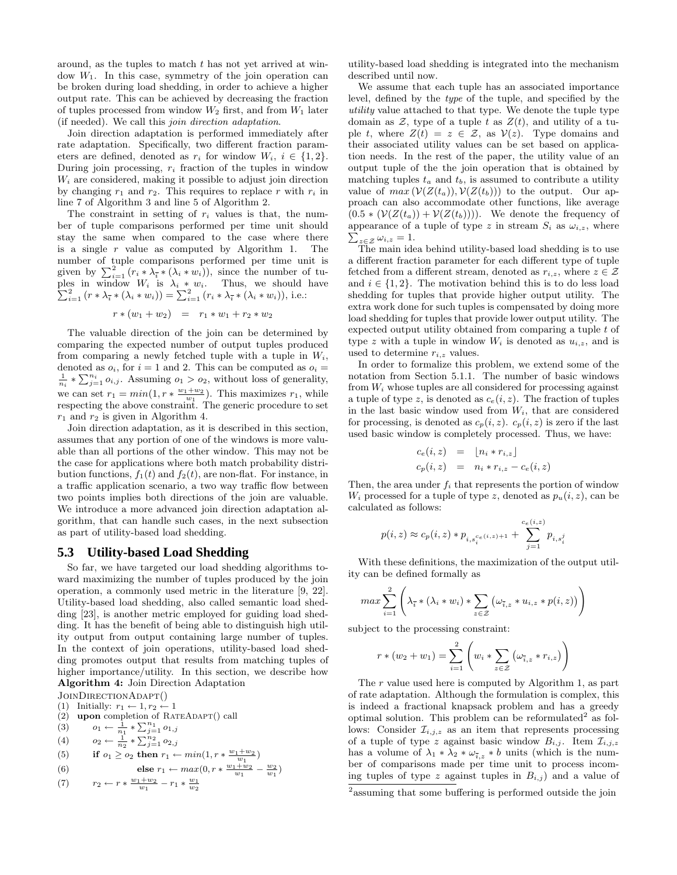around, as the tuples to match t has not yet arrived at window  $W_1$ . In this case, symmetry of the join operation can be broken during load shedding, in order to achieve a higher output rate. This can be achieved by decreasing the fraction of tuples processed from window  $W_2$  first, and from  $W_1$  later (if needed). We call this join direction adaptation.

Join direction adaptation is performed immediately after rate adaptation. Specifically, two different fraction parameters are defined, denoted as  $r_i$  for window  $W_i$ ,  $i \in \{1,2\}$ . During join processing,  $r_i$  fraction of the tuples in window  $W_i$  are considered, making it possible to adjust join direction by changing  $r_1$  and  $r_2$ . This requires to replace r with  $r_i$  in line 7 of Algorithm 3 and line 5 of Algorithm 2.

The constraint in setting of  $r_i$  values is that, the number of tuple comparisons performed per time unit should stay the same when compared to the case where there is a single  $r$  value as computed by Algorithm 1. The number of tuple comparisons performed per time unit is given by  $\sum_{i=1}^{2} (r_i * \lambda_i^{\text{I}} * (\lambda_i * w_i)),$  since the number of tuples in window  $W_i$  is  $\lambda_i * w_i$ . Thus, we should have  $\sum_{i=1}^2 (r * \lambda_i * w_i) = \sum_{i=1}^2 (r_i * \lambda_i * w_i)$ , i.e.:

$$
r * (w_1 + w_2) = r_1 * w_1 + r_2 * w_2
$$

The valuable direction of the join can be determined by comparing the expected number of output tuples produced from comparing a newly fetched tuple with a tuple in  $W_i$ , denoted as  $o_i$ , for  $i = 1$  and 2. This can be computed as  $o_i =$  $\frac{1}{n_i} * \sum_{j=1}^{n_i} o_{i,j}$ . Assuming  $o_1 > o_2$ , without loss of generality, we can set  $r_1 = min(1, r * \frac{w_1 + w_2}{w_1})$ . This maximizes  $r_1$ , while respecting the above constraint. The generic procedure to set  $r_1$  and  $r_2$  is given in Algorithm 4.

Join direction adaptation, as it is described in this section, assumes that any portion of one of the windows is more valuable than all portions of the other window. This may not be the case for applications where both match probability distribution functions,  $f_1(t)$  and  $f_2(t)$ , are non-flat. For instance, in a traffic application scenario, a two way traffic flow between two points implies both directions of the join are valuable. We introduce a more advanced join direction adaptation algorithm, that can handle such cases, in the next subsection as part of utility-based load shedding.

# **5.3 Utility-based Load Shedding**

So far, we have targeted our load shedding algorithms toward maximizing the number of tuples produced by the join operation, a commonly used metric in the literature [9, 22]. Utility-based load shedding, also called semantic load shedding [23], is another metric employed for guiding load shedding. It has the benefit of being able to distinguish high utility output from output containing large number of tuples. In the context of join operations, utility-based load shedding promotes output that results from matching tuples of higher importance/utility. In this section, we describe how **Algorithm 4:** Join Direction Adaptation

JOINDIRECTIONADAPT()

- (1) Initially:  $r_1 \leftarrow 1, r_2 \leftarrow 1$
- (2) **upon** completion of RATEADAPT() call
- (3)  $o_1 \leftarrow \frac{1}{n_1} * \sum_{j=1}^{n_1} o_{1,j}$
- (4)  $o_2 \leftarrow \frac{1}{n_2} * \sum_{j=1}^{n_2} o_{2,j}$
- (5) **if**  $o_1 \geq o_2$  **then**  $r_1 \leftarrow min(1, r * \frac{w_1 + w_2}{w_1})$

(6) else 
$$
r_1 \leftarrow max(0, r * \frac{w_1 + w_2}{w_1} - \frac{w_2}{w_1})
$$

(7) 
$$
r_2 \leftarrow r * \frac{w_1 + w_2}{w_1} - r_1 * \frac{w_1}{w_2}
$$

utility-based load shedding is integrated into the mechanism described until now.

We assume that each tuple has an associated importance level, defined by the type of the tuple, and specified by the utility value attached to that type. We denote the tuple type domain as  $\mathcal{Z}$ , type of a tuple t as  $Z(t)$ , and utility of a tuple t, where  $Z(t) = z \in \mathcal{Z}$ , as  $V(z)$ . Type domains and their associated utility values can be set based on application needs. In the rest of the paper, the utility value of an output tuple of the the join operation that is obtained by matching tuples  $t_a$  and  $t_b$ , is assumed to contribute a utility value of  $max(V(Z(t_a)), V(Z(t_b)))$  to the output. Our approach can also accommodate other functions, like average  $(0.5 * (\mathcal{V}(Z(t_a)) + \mathcal{V}(Z(t_b))))$ . We denote the frequency of appearance of a tuple of type z in stream  $S_i$  as  $\omega_{i,z}$ , where appearance of a tuple of type z in stream  $S_i$  as  $\omega_{i,z}$ , where  $\sum_{z \in \mathcal{Z}} \omega_{i,z} = 1$ .<br>The main idea behind utility-based load shedding is to use

a different fraction parameter for each different type of tuple fetched from a different stream, denoted as  $r_{i,z}$ , where  $z \in \mathcal{Z}$ and  $i \in \{1, 2\}$ . The motivation behind this is to do less load shedding for tuples that provide higher output utility. The extra work done for such tuples is compensated by doing more load shedding for tuples that provide lower output utility. The expected output utility obtained from comparing a tuple t of type z with a tuple in window  $W_i$  is denoted as  $u_{i,z}$ , and is used to determine  $r_{i,z}$  values.

In order to formalize this problem, we extend some of the notation from Section 5.1.1. The number of basic windows from  $W_i$  whose tuples are all considered for processing against a tuple of type z, is denoted as  $c_e(i, z)$ . The fraction of tuples in the last basic window used from  $W_i$ , that are considered for processing, is denoted as  $c_p(i, z)$ .  $c_p(i, z)$  is zero if the last used basic window is completely processed. Thus, we have:

$$
c_e(i, z) = \lfloor n_i * r_{i,z} \rfloor
$$
  
\n
$$
c_p(i, z) = n_i * r_{i,z} - c_e(i, z)
$$

Then, the area under  $f_i$  that represents the portion of window  $W_i$  processed for a tuple of type z, denoted as  $p_u(i, z)$ , can be calculated as follows:

$$
p(i, z) \approx c_p(i, z) * p_{i, s_i^{c_e(i, z)+1}} + \sum_{j=1}^{c_e(i, z)} p_{i, s_i^{j}}
$$

With these definitions, the maximization of the output utility can be defined formally as

$$
\max \sum_{i=1}^{2} \left( \lambda_{\overline{i}} * (\lambda_i * w_i) * \sum_{z \in \mathcal{Z}} (\omega_{\overline{i},z} * u_{i,z} * p(i,z)) \right)
$$

subject to the processing constraint:

$$
r * (w_2 + w_1) = \sum_{i=1}^{2} \left( w_i * \sum_{z \in \mathcal{Z}} (\omega_{\overline{i},z} * r_{i,z}) \right)
$$

The r value used here is computed by Algorithm 1, as part of rate adaptation. Although the formulation is complex, this is indeed a fractional knapsack problem and has a greedy optimal solution. This problem can be reformulated<sup>2</sup> as follows: Consider  $\mathcal{I}_{i,j,z}$  as an item that represents processing of a tuple of type z against basic window  $B_{i,j}$ . Item  $\mathcal{I}_{i,j,z}$ has a volume of  $\lambda_1 * \lambda_2 * \omega_{\bar{i},z} * b$  units (which is the number of comparisons made per time unit to process incoming tuples of type z against tuples in  $B_{i,j}$  and a value of

<sup>&</sup>lt;sup>2</sup> assuming that some buffering is performed outside the join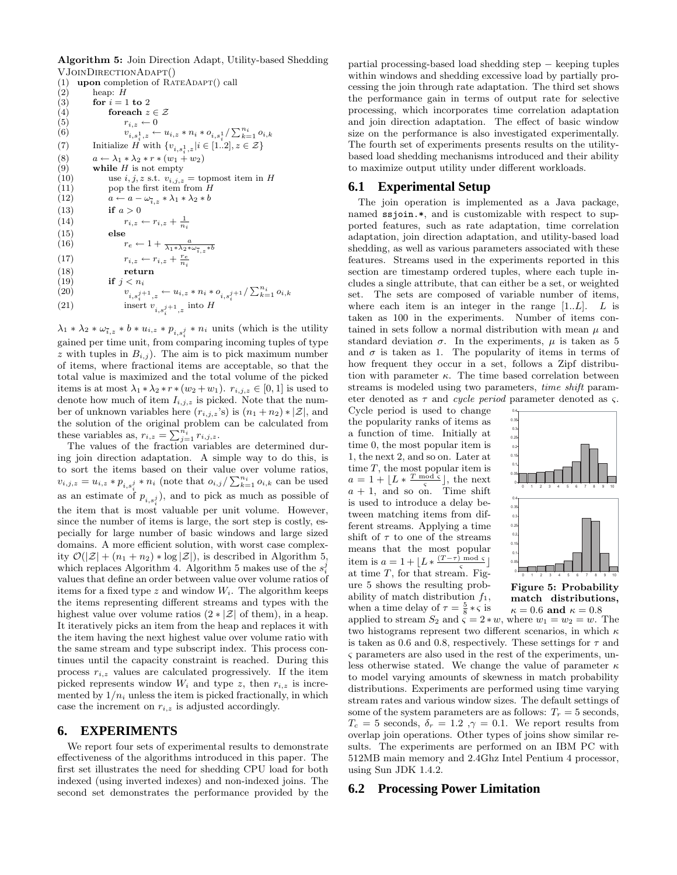**Algorithm 5:** Join Direction Adapt, Utility-based Shedding VJoinDirectionAdapt()

(1) **upon** completion of  $\widehat{RATEADAPT}$  call (2) heap: *H* (2) heap:  $H$ <br>(3) for  $i = 1$ for  $i = 1$  to 2 (4) **for each**  $z \in \mathcal{Z}$ (5)  $r_{i,z} \leftarrow 0$ <br>(6)  $v_{i, s^1, z} \leftarrow 0$ (6)  $v_{i,s_i^1,z} \leftarrow u_{i,z} * n_i * o_{i,s_i^1}/\sum_{k=1}^{n_i} o_{i,k}$ (7) Initialize  $H$  with  $\{v_{i,s_i^1,z}|i \in [1..2], z \in \mathcal{Z}\}\)$ (8)  $a \leftarrow \lambda_1 * \lambda_2 * r * (w_1 + w_2)$ <br>(9) while *H* is not empty while  $H$  is not empty (10) use *i*, *j*, *z* s.t.  $v_{i,j,z}$  = topmost item in *H* (11) pop the first item from *H* (11) pop the first item from H<br>(12)  $a \leftarrow a - \omega_{\overline{a}} * \lambda_1 * \lambda_2 * b$ (12)  $a \leftarrow a - \omega_{\overline{i},z} * \lambda_1 * \lambda_2 * b$ <br>(13) if  $a > 0$ if  $a > 0$ (14)  $r_{i,z} \leftarrow r_{i,z} + \frac{1}{n_i}$ (15) **else** (16)  $r_e \leftarrow 1 + \frac{a}{\lambda_1 * \lambda_2 * \omega_{\bar{i},z} * b}$ (17)  $r_{i,z} \leftarrow r_{i,z} + \frac{r_e}{n_i}$ (18) **return** (19) **if**  $j < n_i$ <br>(20) **if**  $j < n_i$ (20)  $v_{i,s_i^{j+1},z} \leftarrow u_{i,z} * n_i * o_{i,s_i^{j+1}} / \sum_{k=1}^{n_i} o_{i,k}$ (21) insert  $v_{i,s_i^{j+1},z}$  into H

 $\lambda_1 * \lambda_2 * \omega_{\bar{i},z} * b * u_{i,z} * p_{i,s_i^j} * n_i$  units (which is the utility gained per time unit, from comparing incoming tuples of type z with tuples in  $B_{i,j}$ ). The aim is to pick maximum number of items, where fractional items are acceptable, so that the total value is maximized and the total volume of the picked items is at most  $\lambda_1 * \lambda_2 * r * (w_2 + w_1)$ .  $r_{i,j,z} \in [0,1]$  is used to denote how much of item  $I_{i,j,z}$  is picked. Note that the number of unknown variables here  $(r_{i,j,z}$ 's) is  $(n_1+n_2) * |\mathcal{Z}|$ , and the solution of the original problem can be calculated from these variables as,  $r_{i,z} = \sum_{j=1}^{\overline{n_i}} r_{i,j,z}$ .

The values of the fraction variables are determined during join direction adaptation. A simple way to do this, is to sort the items based on their value over volume ratios,  $v_{i,j,z} = u_{i,z} * p_{i,s_i^j} * n_i$  (note that  $o_{i,j}/\sum_{k=1}^{n_i} o_{i,k}$  can be used as an estimate of  $p_{i,s_i^j}$ ), and to pick as much as possible of the item that is most valuable per unit volume. However, since the number of items is large, the sort step is costly, especially for large number of basic windows and large sized domains. A more efficient solution, with worst case complexity  $\mathcal{O}(|\mathcal{Z}| + (n_1 + n_2) * \log |\mathcal{Z}|)$ , is described in Algorithm 5, which replaces Algorithm 4. Algorithm 5 makes use of the  $s_i^j$ values that define an order between value over volume ratios of items for a fixed type z and window  $W_i$ . The algorithm keeps the items representing different streams and types with the highest value over volume ratios  $(2 * |Z|)$  of them), in a heap. It iteratively picks an item from the heap and replaces it with the item having the next highest value over volume ratio with the same stream and type subscript index. This process continues until the capacity constraint is reached. During this process  $r_{i,z}$  values are calculated progressively. If the item picked represents window  $W_i$  and type z, then  $r_{i,z}$  is incremented by  $1/n_i$  unless the item is picked fractionally, in which case the increment on  $r_{i,z}$  is adjusted accordingly.

## **6. EXPERIMENTS**

We report four sets of experimental results to demonstrate effectiveness of the algorithms introduced in this paper. The first set illustrates the need for shedding CPU load for both indexed (using inverted indexes) and non-indexed joins. The second set demonstrates the performance provided by the partial processing-based load shedding step − keeping tuples within windows and shedding excessive load by partially processing the join through rate adaptation. The third set shows the performance gain in terms of output rate for selective processing, which incorporates time correlation adaptation and join direction adaptation. The effect of basic window size on the performance is also investigated experimentally. The fourth set of experiments presents results on the utilitybased load shedding mechanisms introduced and their ability to maximize output utility under different workloads.

# **6.1 Experimental Setup**

The join operation is implemented as a Java package, named ssjoin.\*, and is customizable with respect to supported features, such as rate adaptation, time correlation adaptation, join direction adaptation, and utility-based load shedding, as well as various parameters associated with these features. Streams used in the experiments reported in this section are timestamp ordered tuples, where each tuple includes a single attribute, that can either be a set, or weighted set. The sets are composed of variable number of items, where each item is an integer in the range  $[1..L]$ . L is taken as 100 in the experiments. Number of items contained in sets follow a normal distribution with mean  $\mu$  and standard deviation  $\sigma$ . In the experiments,  $\mu$  is taken as 5 and  $\sigma$  is taken as 1. The popularity of items in terms of how frequent they occur in a set, follows a Zipf distribution with parameter  $\kappa$ . The time based correlation between streams is modeled using two parameters, time shift parameter denoted as  $\tau$  and *cycle period* parameter denoted as  $\varsigma$ .

Cycle period is used to change the popularity ranks of items as a function of time. Initially at time 0, the most popular item is 1, the next 2, and so on. Later at time  $T$ , the most popular item is  $a = 1 + \lfloor L * \frac{T \mod \varsigma}{\varsigma} \rfloor$ , the next  $a + 1$ , and so on. Time shift is used to introduce a delay between matching items from different streams. Applying a time shift of  $\tau$  to one of the streams means that the most popular item is  $a = 1 + \lfloor L * \frac{(T - \tau) \mod \varsigma}{\varsigma} \rfloor$ at time  $T$ , for that stream. Figure 5 shows the resulting probability of match distribution  $f_1$ , when a time delay of  $\tau = \frac{5}{8} * \zeta$  is



**match distributions,**  $\kappa = 0.6$  and  $\kappa = 0.8$ 

applied to stream  $S_2$  and  $\varsigma = 2 * w$ , where  $w_1 = w_2 = w$ . The two histograms represent two different scenarios, in which  $\kappa$ is taken as 0.6 and 0.8, respectively. These settings for  $\tau$  and ς parameters are also used in the rest of the experiments, unless otherwise stated. We change the value of parameter  $\kappa$ to model varying amounts of skewness in match probability distributions. Experiments are performed using time varying stream rates and various window sizes. The default settings of some of the system parameters are as follows:  $T_r = 5$  seconds,  $T_c = 5$  seconds,  $\delta_r = 1.2$ ,  $\gamma = 0.1$ . We report results from overlap join operations. Other types of joins show similar results. The experiments are performed on an IBM PC with 512MB main memory and 2.4Ghz Intel Pentium 4 processor, using Sun JDK 1.4.2.

# **6.2 Processing Power Limitation**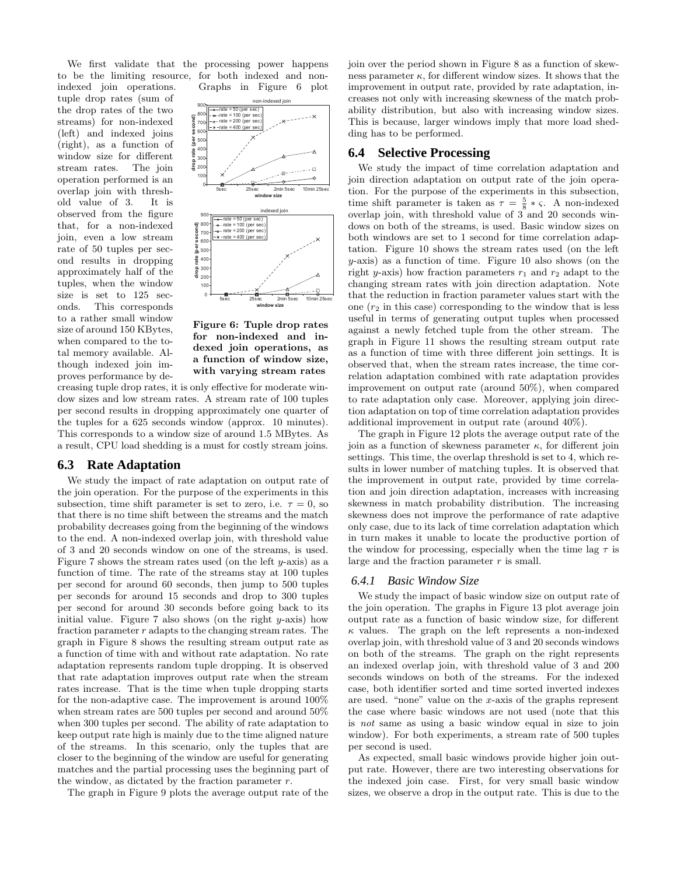We first validate that the processing power happens to be the limiting resource, for both indexed and non-

tuple drop rates (sum of the drop rates of the two streams) for non-indexed (left) and indexed joins (right), as a function of window size for different stream rates. The join operation performed is an overlap join with threshold value of 3. It is observed from the figure that, for a non-indexed join, even a low stream rate of 50 tuples per second results in dropping approximately half of the tuples, when the window size is set to 125 seconds. This corresponds to a rather small window size of around 150 KBytes, when compared to the total memory available. Although indexed join improves performance by de-

indexed join operations. Graphs in Figure 6 plot



**Figure 6: Tuple drop rates for non-indexed and indexed join operations, as a function of window size, with varying stream rates**

creasing tuple drop rates, it is only effective for moderate window sizes and low stream rates. A stream rate of 100 tuples per second results in dropping approximately one quarter of the tuples for a 625 seconds window (approx. 10 minutes). This corresponds to a window size of around 1.5 MBytes. As a result, CPU load shedding is a must for costly stream joins.

#### **6.3 Rate Adaptation**

We study the impact of rate adaptation on output rate of the join operation. For the purpose of the experiments in this subsection, time shift parameter is set to zero, i.e.  $\tau = 0$ , so that there is no time shift between the streams and the match probability decreases going from the beginning of the windows to the end. A non-indexed overlap join, with threshold value of 3 and 20 seconds window on one of the streams, is used. Figure 7 shows the stream rates used (on the left  $y$ -axis) as a function of time. The rate of the streams stay at 100 tuples per second for around 60 seconds, then jump to 500 tuples per seconds for around 15 seconds and drop to 300 tuples per second for around 30 seconds before going back to its initial value. Figure 7 also shows (on the right  $y$ -axis) how fraction parameter  $r$  adapts to the changing stream rates. The graph in Figure 8 shows the resulting stream output rate as a function of time with and without rate adaptation. No rate adaptation represents random tuple dropping. It is observed that rate adaptation improves output rate when the stream rates increase. That is the time when tuple dropping starts for the non-adaptive case. The improvement is around 100% when stream rates are 500 tuples per second and around 50% when 300 tuples per second. The ability of rate adaptation to keep output rate high is mainly due to the time aligned nature of the streams. In this scenario, only the tuples that are closer to the beginning of the window are useful for generating matches and the partial processing uses the beginning part of the window, as dictated by the fraction parameter  $r$ .

The graph in Figure 9 plots the average output rate of the

join over the period shown in Figure 8 as a function of skewness parameter  $\kappa$ , for different window sizes. It shows that the improvement in output rate, provided by rate adaptation, increases not only with increasing skewness of the match probability distribution, but also with increasing window sizes. This is because, larger windows imply that more load shedding has to be performed.

#### **6.4 Selective Processing**

We study the impact of time correlation adaptation and join direction adaptation on output rate of the join operation. For the purpose of the experiments in this subsection, time shift parameter is taken as  $\tau = \frac{5}{8} * \varsigma$ . A non-indexed overlap join, with threshold value of 3 and 20 seconds windows on both of the streams, is used. Basic window sizes on both windows are set to 1 second for time correlation adaptation. Figure 10 shows the stream rates used (on the left y-axis) as a function of time. Figure 10 also shows (on the right y-axis) how fraction parameters  $r_1$  and  $r_2$  adapt to the changing stream rates with join direction adaptation. Note that the reduction in fraction parameter values start with the one  $(r_2$  in this case) corresponding to the window that is less useful in terms of generating output tuples when processed against a newly fetched tuple from the other stream. The graph in Figure 11 shows the resulting stream output rate as a function of time with three different join settings. It is observed that, when the stream rates increase, the time correlation adaptation combined with rate adaptation provides improvement on output rate (around 50%), when compared to rate adaptation only case. Moreover, applying join direction adaptation on top of time correlation adaptation provides additional improvement in output rate (around 40%).

The graph in Figure 12 plots the average output rate of the join as a function of skewness parameter  $\kappa$ , for different join settings. This time, the overlap threshold is set to 4, which results in lower number of matching tuples. It is observed that the improvement in output rate, provided by time correlation and join direction adaptation, increases with increasing skewness in match probability distribution. The increasing skewness does not improve the performance of rate adaptive only case, due to its lack of time correlation adaptation which in turn makes it unable to locate the productive portion of the window for processing, especially when the time lag  $\tau$  is large and the fraction parameter  $r$  is small.

#### *6.4.1 Basic Window Size*

We study the impact of basic window size on output rate of the join operation. The graphs in Figure 13 plot average join output rate as a function of basic window size, for different  $\kappa$  values. The graph on the left represents a non-indexed overlap join, with threshold value of 3 and 20 seconds windows on both of the streams. The graph on the right represents an indexed overlap join, with threshold value of 3 and 200 seconds windows on both of the streams. For the indexed case, both identifier sorted and time sorted inverted indexes are used. "none" value on the x-axis of the graphs represent the case where basic windows are not used (note that this is not same as using a basic window equal in size to join window). For both experiments, a stream rate of 500 tuples per second is used.

As expected, small basic windows provide higher join output rate. However, there are two interesting observations for the indexed join case. First, for very small basic window sizes, we observe a drop in the output rate. This is due to the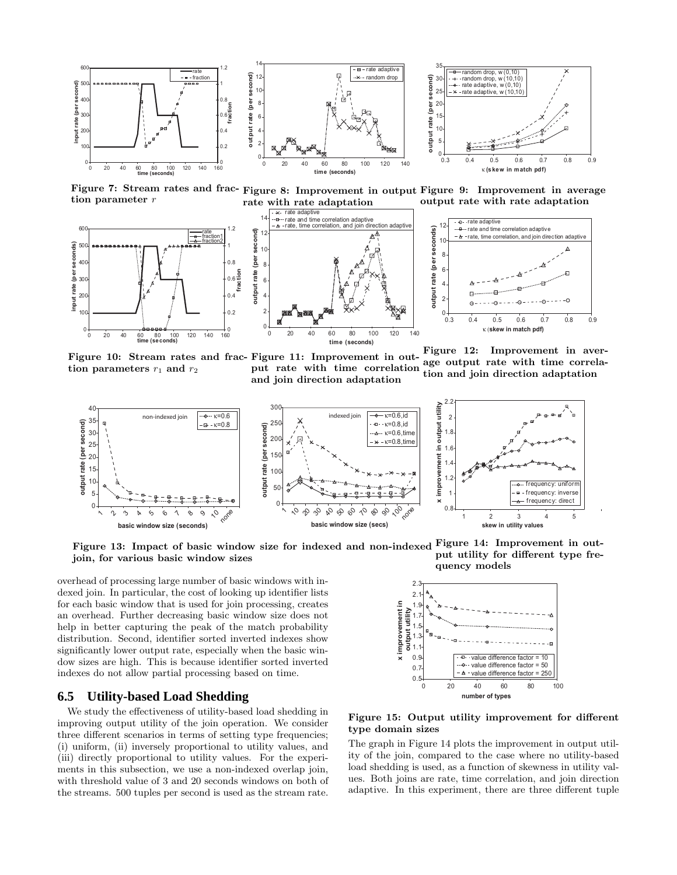

**tion parameter** r



tion parameters  $r_1$  and  $r_2$ 



**Figure 7: Stream rates and frac-Figure 8: Improvement in output Figure 9: Improvement in average rate with rate adaptation output rate with rate adaptation**



**Figure 10: Stream rates and frac-Figure 11: Improvement in output rate with time correlation and join direction adaptation Figure 12: Improvement in average output rate with time correlation and join direction adaptation**



Figure 13: Impact of basic window size for indexed and non-indexed Figure 14: Improvement in out**join, for various basic window sizes put utility for different type frequency models**

overhead of processing large number of basic windows with indexed join. In particular, the cost of looking up identifier lists for each basic window that is used for join processing, creates an overhead. Further decreasing basic window size does not help in better capturing the peak of the match probability distribution. Second, identifier sorted inverted indexes show significantly lower output rate, especially when the basic window sizes are high. This is because identifier sorted inverted indexes do not allow partial processing based on time.

#### **6.5 Utility-based Load Shedding**

We study the effectiveness of utility-based load shedding in improving output utility of the join operation. We consider three different scenarios in terms of setting type frequencies; (i) uniform, (ii) inversely proportional to utility values, and (iii) directly proportional to utility values. For the experiments in this subsection, we use a non-indexed overlap join, with threshold value of 3 and 20 seconds windows on both of the streams. 500 tuples per second is used as the stream rate.



**Figure 15: Output utility improvement for different type domain sizes**

The graph in Figure 14 plots the improvement in output utility of the join, compared to the case where no utility-based load shedding is used, as a function of skewness in utility values. Both joins are rate, time correlation, and join direction adaptive. In this experiment, there are three different tuple